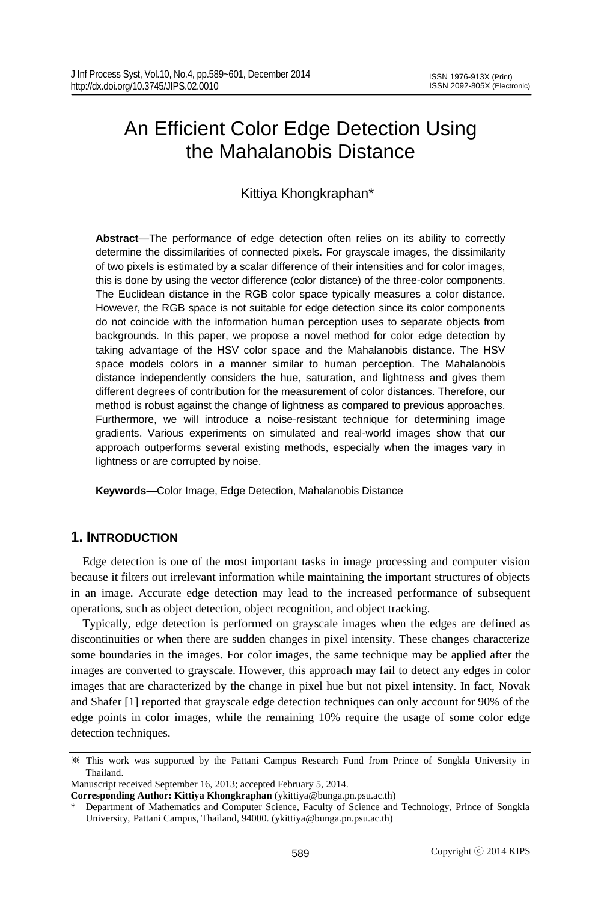# An Efficient Color Edge Detection Using the Mahalanobis Distance

# Kittiya Khongkraphan\*

**Abstract**—The performance of edge detection often relies on its ability to correctly determine the dissimilarities of connected pixels. For grayscale images, the dissimilarity of two pixels is estimated by a scalar difference of their intensities and for color images, this is done by using the vector difference (color distance) of the three-color components. The Euclidean distance in the RGB color space typically measures a color distance. However, the RGB space is not suitable for edge detection since its color components do not coincide with the information human perception uses to separate objects from backgrounds. In this paper, we propose a novel method for color edge detection by taking advantage of the HSV color space and the Mahalanobis distance. The HSV space models colors in a manner similar to human perception. The Mahalanobis distance independently considers the hue, saturation, and lightness and gives them different degrees of contribution for the measurement of color distances. Therefore, our method is robust against the change of lightness as compared to previous approaches. Furthermore, we will introduce a noise-resistant technique for determining image gradients. Various experiments on simulated and real-world images show that our approach outperforms several existing methods, especially when the images vary in lightness or are corrupted by noise.

**Keywords**—Color Image, Edge Detection, Mahalanobis Distance

# **1. INTRODUCTION**

Edge detection is one of the most important tasks in image processing and computer vision because it filters out irrelevant information while maintaining the important structures of objects in an image. Accurate edge detection may lead to the increased performance of subsequent operations, such as object detection, object recognition, and object tracking.

Typically, edge detection is performed on grayscale images when the edges are defined as discontinuities or when there are sudden changes in pixel intensity. These changes characterize some boundaries in the images. For color images, the same technique may be applied after the images are converted to grayscale. However, this approach may fail to detect any edges in color images that are characterized by the change in pixel hue but not pixel intensity. In fact, Novak and Shafer [1] reported that grayscale edge detection techniques can only account for 90% of the edge points in color images, while the remaining 10% require the usage of some color edge detection techniques.

Manuscript received September 16, 2013; accepted February 5, 2014.

<sup>※</sup> This work was supported by the Pattani Campus Research Fund from Prince of Songkla University in Thailand.

**Corresponding Author: Kittiya Khongkraphan** (ykittiya@bunga.pn.psu.ac.th)

Department of Mathematics and Computer Science, Faculty of Science and Technology, Prince of Songkla University, Pattani Campus, Thailand, 94000. (ykittiya@bunga.pn.psu.ac.th)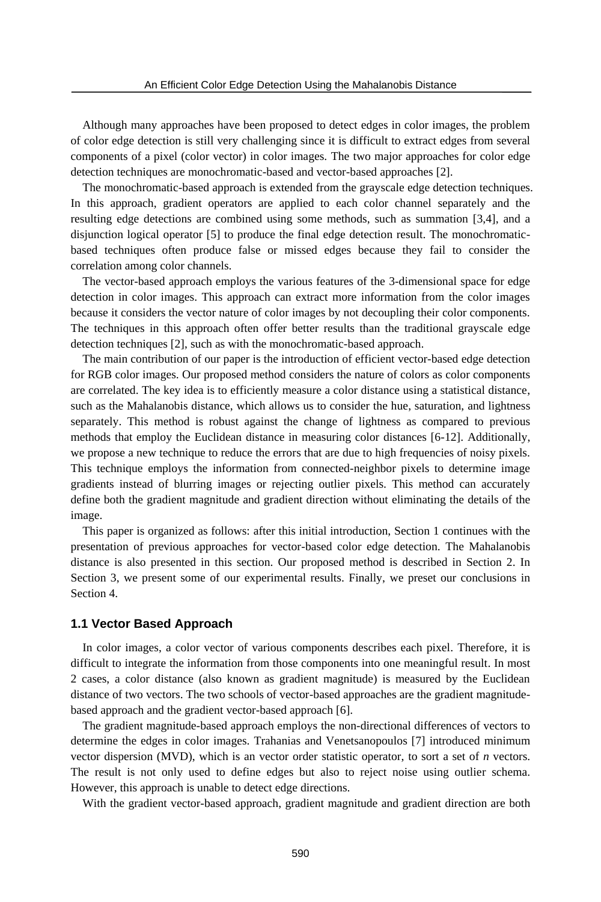Although many approaches have been proposed to detect edges in color images, the problem of color edge detection is still very challenging since it is difficult to extract edges from several components of a pixel (color vector) in color images. The two major approaches for color edge detection techniques are monochromatic-based and vector-based approaches [2].

The monochromatic-based approach is extended from the grayscale edge detection techniques. In this approach, gradient operators are applied to each color channel separately and the resulting edge detections are combined using some methods, such as summation [3,4], and a disjunction logical operator [5] to produce the final edge detection result. The monochromaticbased techniques often produce false or missed edges because they fail to consider the correlation among color channels.

The vector-based approach employs the various features of the 3-dimensional space for edge detection in color images. This approach can extract more information from the color images because it considers the vector nature of color images by not decoupling their color components. The techniques in this approach often offer better results than the traditional grayscale edge detection techniques [2], such as with the monochromatic-based approach.

The main contribution of our paper is the introduction of efficient vector-based edge detection for RGB color images. Our proposed method considers the nature of colors as color components are correlated. The key idea is to efficiently measure a color distance using a statistical distance, such as the Mahalanobis distance, which allows us to consider the hue, saturation, and lightness separately. This method is robust against the change of lightness as compared to previous methods that employ the Euclidean distance in measuring color distances [6-12]. Additionally, we propose a new technique to reduce the errors that are due to high frequencies of noisy pixels. This technique employs the information from connected-neighbor pixels to determine image gradients instead of blurring images or rejecting outlier pixels. This method can accurately define both the gradient magnitude and gradient direction without eliminating the details of the image.

This paper is organized as follows: after this initial introduction, Section 1 continues with the presentation of previous approaches for vector-based color edge detection. The Mahalanobis distance is also presented in this section. Our proposed method is described in Section 2. In Section 3, we present some of our experimental results. Finally, we preset our conclusions in Section 4.

#### **1.1 Vector Based Approach**

In color images, a color vector of various components describes each pixel. Therefore, it is difficult to integrate the information from those components into one meaningful result. In most 2 cases, a color distance (also known as gradient magnitude) is measured by the Euclidean distance of two vectors. The two schools of vector-based approaches are the gradient magnitudebased approach and the gradient vector-based approach [6].

The gradient magnitude-based approach employs the non-directional differences of vectors to determine the edges in color images. Trahanias and Venetsanopoulos [7] introduced minimum vector dispersion (MVD), which is an vector order statistic operator, to sort a set of *n* vectors. The result is not only used to define edges but also to reject noise using outlier schema. However, this approach is unable to detect edge directions.

With the gradient vector-based approach, gradient magnitude and gradient direction are both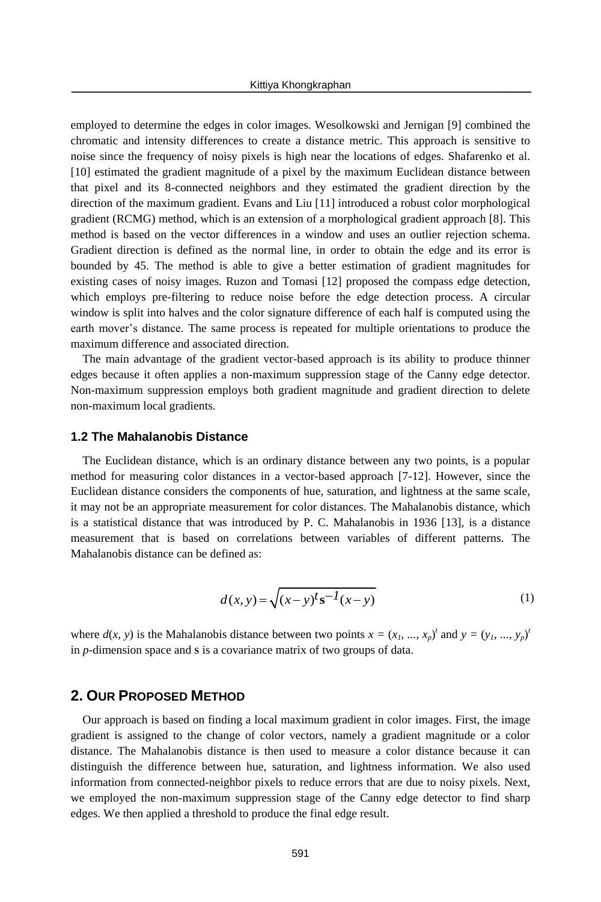employed to determine the edges in color images. Wesolkowski and Jernigan [9] combined the chromatic and intensity differences to create a distance metric. This approach is sensitive to noise since the frequency of noisy pixels is high near the locations of edges. Shafarenko et al. [10] estimated the gradient magnitude of a pixel by the maximum Euclidean distance between that pixel and its 8-connected neighbors and they estimated the gradient direction by the direction of the maximum gradient. Evans and Liu [11] introduced a robust color morphological gradient (RCMG) method, which is an extension of a morphological gradient approach [8]. This method is based on the vector differences in a window and uses an outlier rejection schema. Gradient direction is defined as the normal line, in order to obtain the edge and its error is bounded by 45. The method is able to give a better estimation of gradient magnitudes for existing cases of noisy images. Ruzon and Tomasi [12] proposed the compass edge detection, which employs pre-filtering to reduce noise before the edge detection process. A circular window is split into halves and the color signature difference of each half is computed using the earth mover's distance. The same process is repeated for multiple orientations to produce the maximum difference and associated direction.

The main advantage of the gradient vector-based approach is its ability to produce thinner edges because it often applies a non-maximum suppression stage of the Canny edge detector. Non-maximum suppression employs both gradient magnitude and gradient direction to delete non-maximum local gradients.

#### **1.2 The Mahalanobis Distance**

The Euclidean distance, which is an ordinary distance between any two points, is a popular method for measuring color distances in a vector-based approach [7-12]. However, since the Euclidean distance considers the components of hue, saturation, and lightness at the same scale, it may not be an appropriate measurement for color distances. The Mahalanobis distance, which is a statistical distance that was introduced by P. C. Mahalanobis in 1936 [13], is a distance measurement that is based on correlations between variables of different patterns. The Mahalanobis distance can be defined as:

$$
d(x, y) = \sqrt{(x - y)^{t} s^{-1} (x - y)}
$$
(1)

where  $d(x, y)$  is the Mahalanobis distance between two points  $x = (x_1, ..., x_p)^t$  and  $y = (y_1, ..., y_p)^t$ in *p*-dimension space and **S** is a covariance matrix of two groups of data.

# **2. OUR PROPOSED METHOD**

Our approach is based on finding a local maximum gradient in color images. First, the image gradient is assigned to the change of color vectors, namely a gradient magnitude or a color distance. The Mahalanobis distance is then used to measure a color distance because it can distinguish the difference between hue, saturation, and lightness information. We also used information from connected-neighbor pixels to reduce errors that are due to noisy pixels. Next, we employed the non-maximum suppression stage of the Canny edge detector to find sharp edges. We then applied a threshold to produce the final edge result.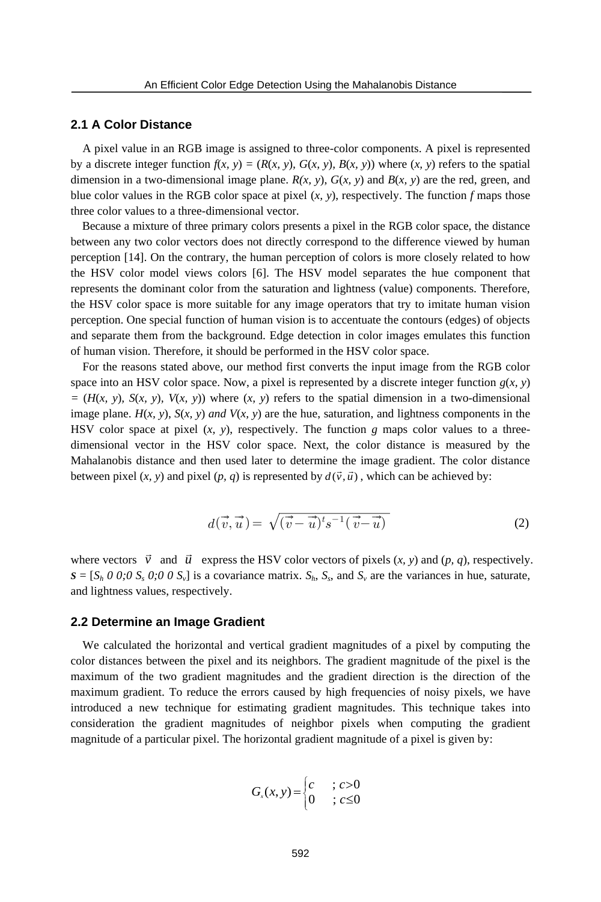#### **2.1 A Color Distance**

A pixel value in an RGB image is assigned to three-color components. A pixel is represented by a discrete integer function  $f(x, y) = (R(x, y), G(x, y), B(x, y))$  where  $(x, y)$  refers to the spatial dimension in a two-dimensional image plane.  $R(x, y)$ ,  $G(x, y)$  and  $B(x, y)$  are the red, green, and blue color values in the RGB color space at pixel (*x, y*), respectively. The function *f* maps those three color values to a three-dimensional vector.

Because a mixture of three primary colors presents a pixel in the RGB color space, the distance between any two color vectors does not directly correspond to the difference viewed by human perception [14]. On the contrary, the human perception of colors is more closely related to how the HSV color model views colors [6]. The HSV model separates the hue component that represents the dominant color from the saturation and lightness (value) components. Therefore, the HSV color space is more suitable for any image operators that try to imitate human vision perception. One special function of human vision is to accentuate the contours (edges) of objects and separate them from the background. Edge detection in color images emulates this function of human vision. Therefore, it should be performed in the HSV color space.

For the reasons stated above, our method first converts the input image from the RGB color space into an HSV color space. Now, a pixel is represented by a discrete integer function  $g(x, y)$  $= (H(x, y), S(x, y), V(x, y))$  where  $(x, y)$  refers to the spatial dimension in a two-dimensional image plane. *H*(*x, y*), *S*(*x, y*) *and V*(*x, y*) are the hue, saturation, and lightness components in the HSV color space at pixel  $(x, y)$ , respectively. The function  $g$  maps color values to a threedimensional vector in the HSV color space. Next, the color distance is measured by the Mahalanobis distance and then used later to determine the image gradient. The color distance between pixel  $(x, y)$  and pixel  $(p, q)$  is represented by  $d(\vec{v}, \vec{u})$ , which can be achieved by: and be performed in the HSV column method first converts the inputy, a pixel is represented by a difference of  $(x, y)$  refers to the spatial dim  $\forall (x, y)$  are the hue, saturation, and respectively. The function g m color s

$$
d(\vec{v}, \vec{u}) = \sqrt{(\vec{v} - \vec{u})^t s^{-1} (\vec{v} - \vec{u})}
$$
 (2)

where vectors  $\vec{v}$  and  $\vec{u}$  express the HSV color vectors of pixels  $(x, y)$  and  $(p, q)$ , respectively.  $S = [S_h \ 0 \ 0; 0 \ S_s \ 0; 0 \ 0 \ S_v]$  is a covariance matrix.  $S_h$ ,  $S_s$ , and  $S_v$  are the variances in hue, saturate, and lightness values, respectively.

#### **2.2 Determine an Image Gradient**

We calculated the horizontal and vertical gradient magnitudes of a pixel by computing the color distances between the pixel and its neighbors. The gradient magnitude of the pixel is the maximum of the two gradient magnitudes and the gradient direction is the direction of the maximum gradient. To reduce the errors caused by high frequencies of noisy pixels, we have introduced a new technique for estimating gradient magnitudes. This technique takes into consideration the gradient magnitudes of neighbor pixels when computing the gradient magnitude of a particular pixel. The horizontal gradient magnitude of a pixel is given by:

$$
G_x(x, y) = \begin{cases} c & \text{if } c > 0 \\ 0 & \text{if } c \leq 0 \end{cases}
$$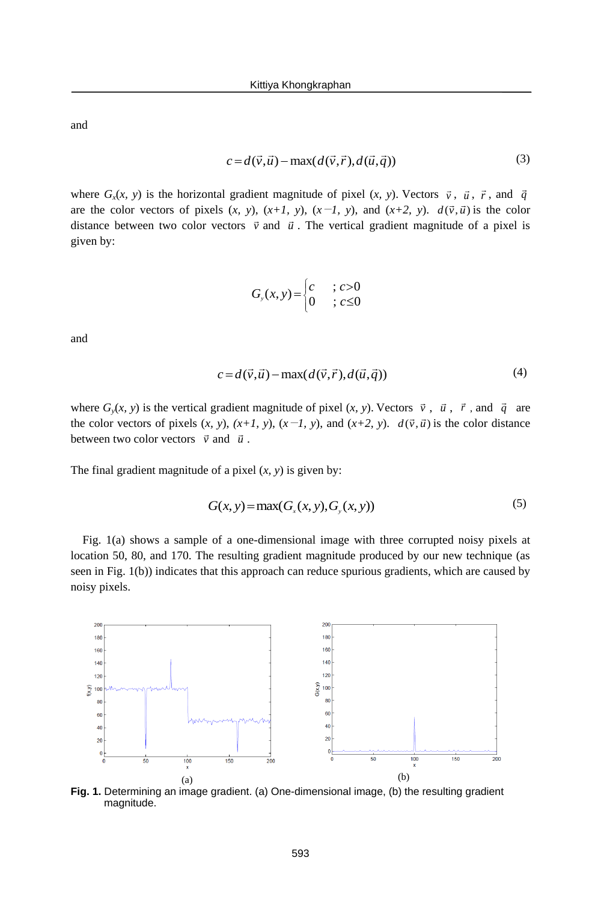and

$$
c = d(\vec{v}, \vec{u}) - \max(d(\vec{v}, \vec{r}), d(\vec{u}, \vec{q}))
$$
\n(3)

where  $G_x(x, y)$  is the horizontal gradient magnitude of pixel  $(x, y)$ . Vectors  $\vec{v}$ ,  $\vec{u}$ ,  $\vec{r}$ , and  $\vec{q}$ are the color vectors of pixels  $(x, y)$ ,  $(x+1, y)$ ,  $(x-1, y)$ , and  $(x+2, y)$ .  $d(\vec{v}, \vec{u})$  is the color distance between two color vectors  $\vec{v}$  and  $\vec{u}$ . The vertical gradient magnitude of a pixel is given by:

$$
G_{y}(x,y) = \begin{cases} c & \text{if } c > 0 \\ 0 & \text{if } c \leq 0 \end{cases}
$$

and

$$
c = d(\vec{v}, \vec{u}) - \max(d(\vec{v}, \vec{r}), d(\vec{u}, \vec{q})) \tag{4}
$$

where  $G_y(x, y)$  is the vertical gradient magnitude of pixel  $(x, y)$ . Vectors  $\vec{v}$ ,  $\vec{u}$ ,  $\vec{r}$ , and  $\vec{q}$  are the color vectors of pixels  $(x, y)$ ,  $(x+1, y)$ ,  $(x-1, y)$ , and  $(x+2, y)$ .  $d(\vec{v}, \vec{u})$  is the color distance between two color vectors  $\vec{v}$  and  $\vec{u}$ .

The final gradient magnitude of a pixel (*x, y*) is given by:

$$
G(x, y) = \max(Gx(x, y), Gy(x, y))
$$
\n
$$
(5)
$$

Fig. 1(a) shows a sample of a one-dimensional image with three corrupted noisy pixels at location 50, 80, and 170. The resulting gradient magnitude produced by our new technique (as seen in Fig. 1(b)) indicates that this approach can reduce spurious gradients, which are caused by noisy pixels.



**Fig. 1.** Determining an image gradient. (a) One-dimensional image, (b) the resulting gradient magnitude.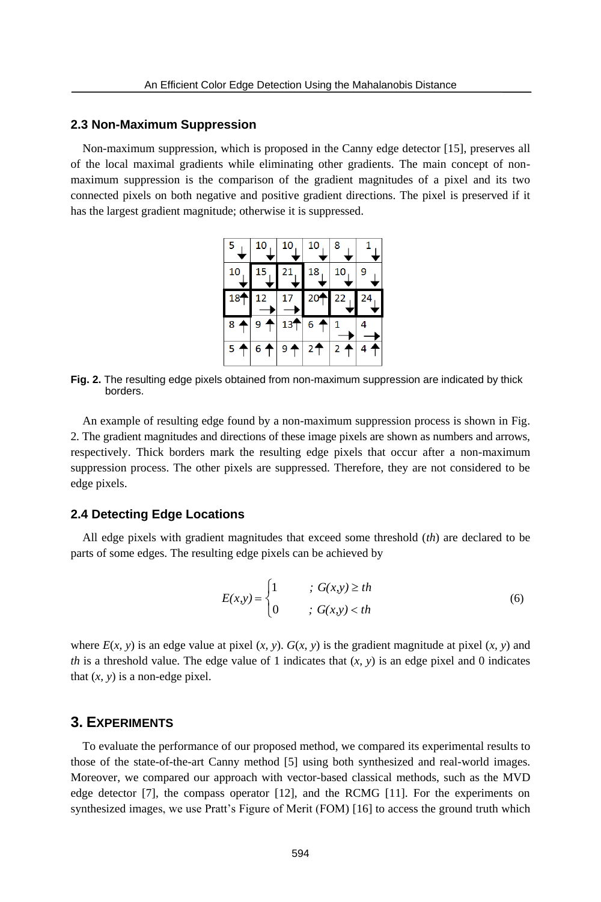#### **2.3 Non-Maximum Suppression**

Non-maximum suppression, which is proposed in the Canny edge detector [15], preserves all of the local maximal gradients while eliminating other gradients. The main concept of nonmaximum suppression is the comparison of the gradient magnitudes of a pixel and its two connected pixels on both negative and positive gradient directions. The pixel is preserved if it has the largest gradient magnitude; otherwise it is suppressed.

| 5 <sub>1</sub>  | 10    | 10    | 10              | 8     |    |
|-----------------|-------|-------|-----------------|-------|----|
| 10              | 15    | 21    | 18              | 10    |    |
| 18 <sup>4</sup> |       |       | 20 <sup>4</sup> | 22    | 24 |
| 8 <sub>4</sub>  |       | 13'   | 6               |       |    |
| 5 <sup>†</sup>  | $6 +$ | $9 +$ | 2 <sup>2</sup>  | $2 +$ |    |

**Fig. 2.** The resulting edge pixels obtained from non-maximum suppression are indicated by thick borders.

An example of resulting edge found by a non-maximum suppression process is shown in Fig. 2. The gradient magnitudes and directions of these image pixels are shown as numbers and arrows, respectively. Thick borders mark the resulting edge pixels that occur after a non-maximum suppression process. The other pixels are suppressed. Therefore, they are not considered to be edge pixels.

#### **2.4 Detecting Edge Locations**

All edge pixels with gradient magnitudes that exceed some threshold (*th*) are declared to be parts of some edges. The resulting edge pixels can be achieved by

$$
E(x,y) = \begin{cases} 1 & \text{if } G(x,y) \geq th \\ 0 & \text{if } G(x,y) < th \end{cases} \tag{6}
$$

where  $E(x, y)$  is an edge value at pixel  $(x, y)$ .  $G(x, y)$  is the gradient magnitude at pixel  $(x, y)$  and *th* is a threshold value. The edge value of 1 indicates that  $(x, y)$  is an edge pixel and 0 indicates that  $(x, y)$  is a non-edge pixel.

## **3. EXPERIMENTS**

To evaluate the performance of our proposed method, we compared its experimental results to those of the state-of-the-art Canny method [5] using both synthesized and real-world images. Moreover, we compared our approach with vector-based classical methods, such as the MVD edge detector [7], the compass operator [12], and the RCMG [11]. For the experiments on synthesized images, we use Pratt's Figure of Merit (FOM) [16] to access the ground truth which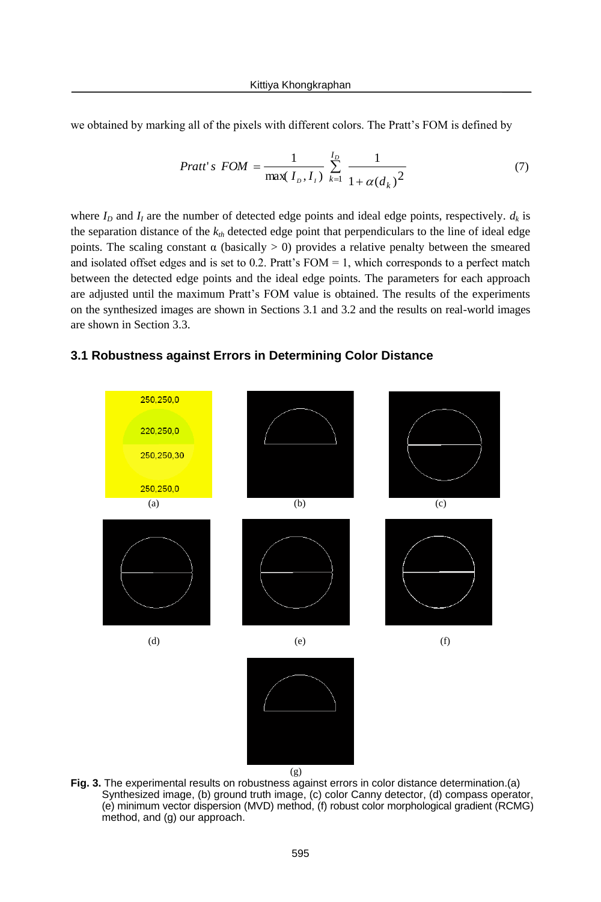we obtained by marking all of the pixels with different colors. The Pratt's FOM is defined by

$$
Pratt's\,\, = \frac{1}{\max(I_D, I_I)} \sum_{k=1}^{I_D} \frac{1}{1 + \alpha(d_k)^2} \tag{7}
$$

where  $I_D$  and  $I_I$  are the number of detected edge points and ideal edge points, respectively.  $d_k$  is the separation distance of the  $k_{th}$  detected edge point that perpendiculars to the line of ideal edge points. The scaling constant  $α$  (basically  $>$  0) provides a relative penalty between the smeared and isolated offset edges and is set to 0.2. Pratt's  $FOM = 1$ , which corresponds to a perfect match between the detected edge points and the ideal edge points. The parameters for each approach are adjusted until the maximum Pratt's FOM value is obtained. The results of the experiments on the synthesized images are shown in Sections 3.1 and 3.2 and the results on real-world images are shown in Section 3.3.

## **3.1 Robustness against Errors in Determining Color Distance**



**Fig. 3.** The experimental results on robustness against errors in color distance determination.(a) Synthesized image, (b) ground truth image, (c) color Canny detector, (d) compass operator, (e) minimum vector dispersion (MVD) method, (f) robust color morphological gradient (RCMG) method, and (g) our approach.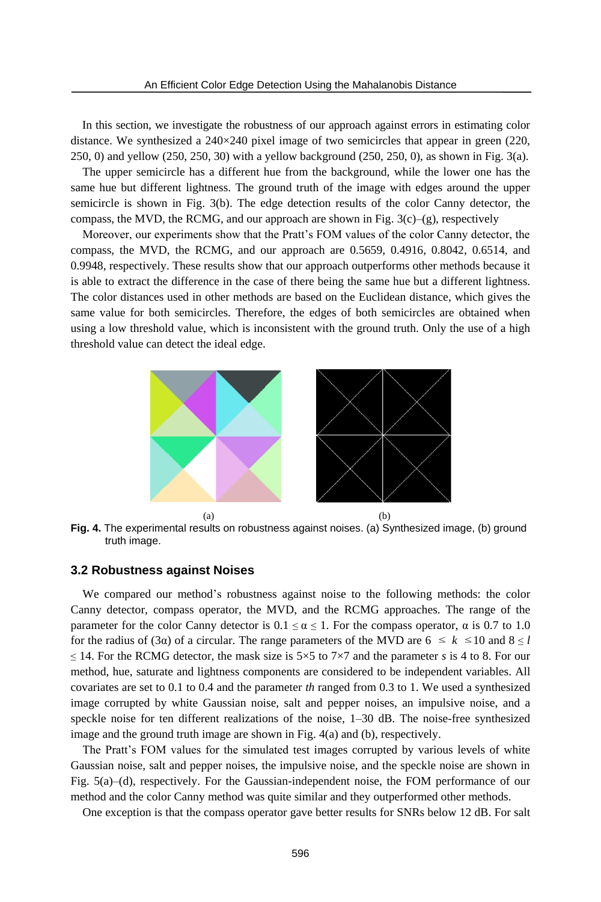In this section, we investigate the robustness of our approach against errors in estimating color distance. We synthesized a  $240 \times 240$  pixel image of two semicircles that appear in green (220, 250, 0) and yellow (250, 250, 30) with a yellow background (250, 250, 0), as shown in Fig. 3(a).

The upper semicircle has a different hue from the background, while the lower one has the same hue but different lightness. The ground truth of the image with edges around the upper semicircle is shown in Fig. 3(b). The edge detection results of the color Canny detector, the compass, the MVD, the RCMG, and our approach are shown in Fig.  $3(c)$ –(g), respectively

Moreover, our experiments show that the Pratt's FOM values of the color Canny detector, the compass, the MVD, the RCMG, and our approach are 0.5659, 0.4916, 0.8042, 0.6514, and 0.9948, respectively. These results show that our approach outperforms other methods because it is able to extract the difference in the case of there being the same hue but a different lightness. The color distances used in other methods are based on the Euclidean distance, which gives the same value for both semicircles. Therefore, the edges of both semicircles are obtained when using a low threshold value, which is inconsistent with the ground truth. Only the use of a high threshold value can detect the ideal edge.



**Fig. 4.** The experimental results on robustness against noises. (a) Synthesized image, (b) ground truth image.

#### **3.2 Robustness against Noises**

We compared our method's robustness against noise to the following methods: the color Canny detector, compass operator, the MVD, and the RCMG approaches. The range of the parameter for the color Canny detector is  $0.1 \le \alpha \le 1$ . For the compass operator,  $\alpha$  is 0.7 to 1.0 for the radius of (3α) of a circular. The range parameters of the MVD are  $6 \le k \le 10$  and  $8 \le l$ ≤ 14. For the RCMG detector, the mask size is  $5×5$  to  $7×7$  and the parameter *s* is 4 to 8. For our method, hue, saturate and lightness components are considered to be independent variables. All covariates are set to 0.1 to 0.4 and the parameter *th* ranged from 0.3 to 1. We used a synthesized image corrupted by white Gaussian noise, salt and pepper noises, an impulsive noise, and a speckle noise for ten different realizations of the noise, 1–30 dB. The noise-free synthesized image and the ground truth image are shown in Fig. 4(a) and (b), respectively.

The Pratt's FOM values for the simulated test images corrupted by various levels of white Gaussian noise, salt and pepper noises, the impulsive noise, and the speckle noise are shown in Fig. 5(a)–(d), respectively. For the Gaussian-independent noise, the FOM performance of our method and the color Canny method was quite similar and they outperformed other methods.

One exception is that the compass operator gave better results for SNRs below 12 dB. For salt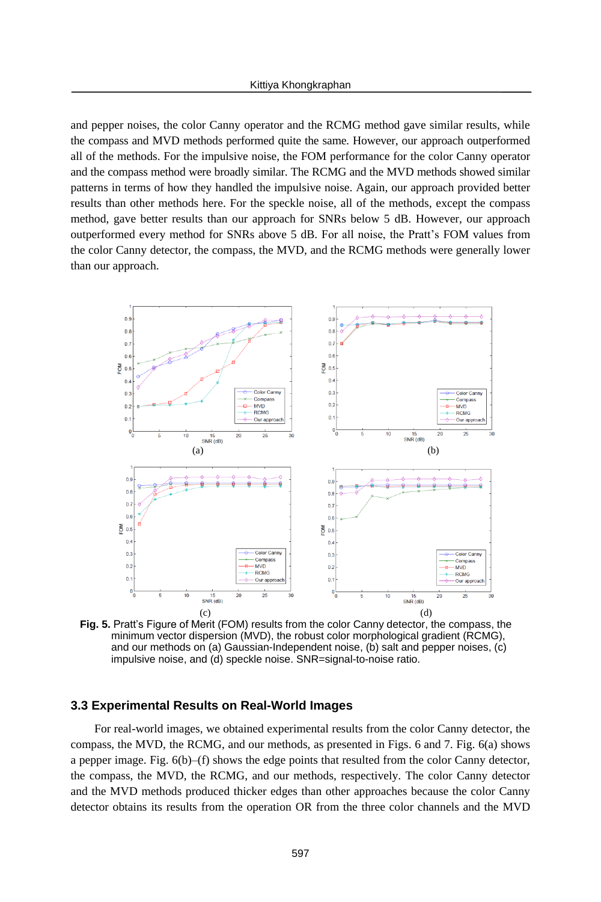and pepper noises, the color Canny operator and the RCMG method gave similar results, while the compass and MVD methods performed quite the same. However, our approach outperformed all of the methods. For the impulsive noise, the FOM performance for the color Canny operator and the compass method were broadly similar. The RCMG and the MVD methods showed similar patterns in terms of how they handled the impulsive noise. Again, our approach provided better results than other methods here. For the speckle noise, all of the methods, except the compass method, gave better results than our approach for SNRs below 5 dB. However, our approach outperformed every method for SNRs above 5 dB. For all noise, the Pratt's FOM values from the color Canny detector, the compass, the MVD, and the RCMG methods were generally lower than our approach.



**Fig. 5.** Pratt's Figure of Merit (FOM) results from the color Canny detector, the compass, the minimum vector dispersion (MVD), the robust color morphological gradient (RCMG), and our methods on (a) Gaussian-Independent noise, (b) salt and pepper noises, (c) impulsive noise, and (d) speckle noise. SNR=signal-to-noise ratio.

### **3.3 Experimental Results on Real-World Images**

 For real-world images, we obtained experimental results from the color Canny detector, the compass, the MVD, the RCMG, and our methods, as presented in Figs. 6 and 7. Fig. 6(a) shows a pepper image. Fig. 6(b)–(f) shows the edge points that resulted from the color Canny detector, the compass, the MVD, the RCMG, and our methods, respectively. The color Canny detector and the MVD methods produced thicker edges than other approaches because the color Canny detector obtains its results from the operation OR from the three color channels and the MVD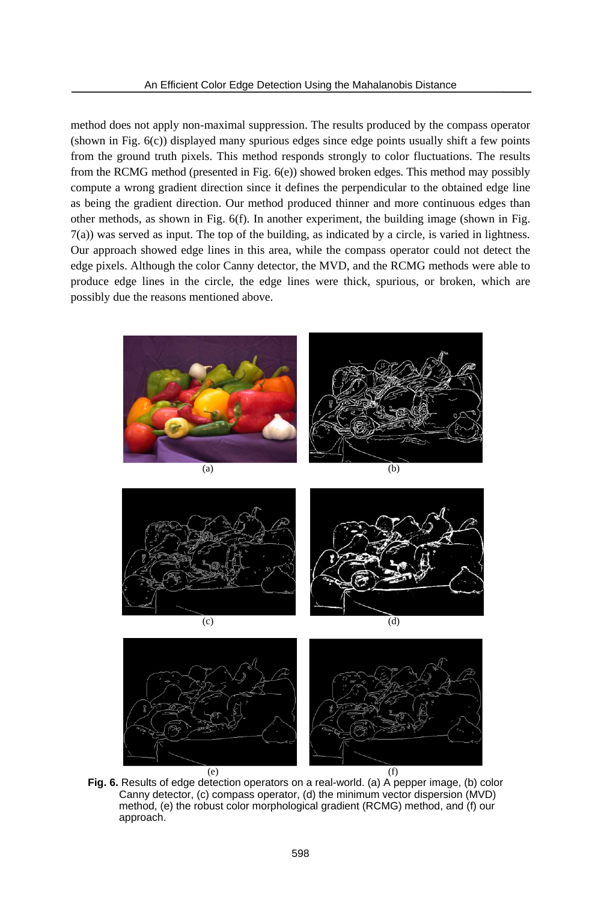method does not apply non-maximal suppression. The results produced by the compass operator (shown in Fig. 6(c)) displayed many spurious edges since edge points usually shift a few points from the ground truth pixels. This method responds strongly to color fluctuations. The results from the RCMG method (presented in Fig. 6(e)) showed broken edges. This method may possibly compute a wrong gradient direction since it defines the perpendicular to the obtained edge line as being the gradient direction. Our method produced thinner and more continuous edges than other methods, as shown in Fig. 6(f). In another experiment, the building image (shown in Fig. 7(a)) was served as input. The top of the building, as indicated by a circle, is varied in lightness. Our approach showed edge lines in this area, while the compass operator could not detect the edge pixels. Although the color Canny detector, the MVD, and the RCMG methods were able to produce edge lines in the circle, the edge lines were thick, spurious, or broken, which are possibly due the reasons mentioned above.



**Fig. 6.** Results of edge detection operators on a real-world. (a) A pepper image, (b) color Canny detector, (c) compass operator, (d) the minimum vector dispersion (MVD) method, (e) the robust color morphological gradient (RCMG) method, and (f) our approach.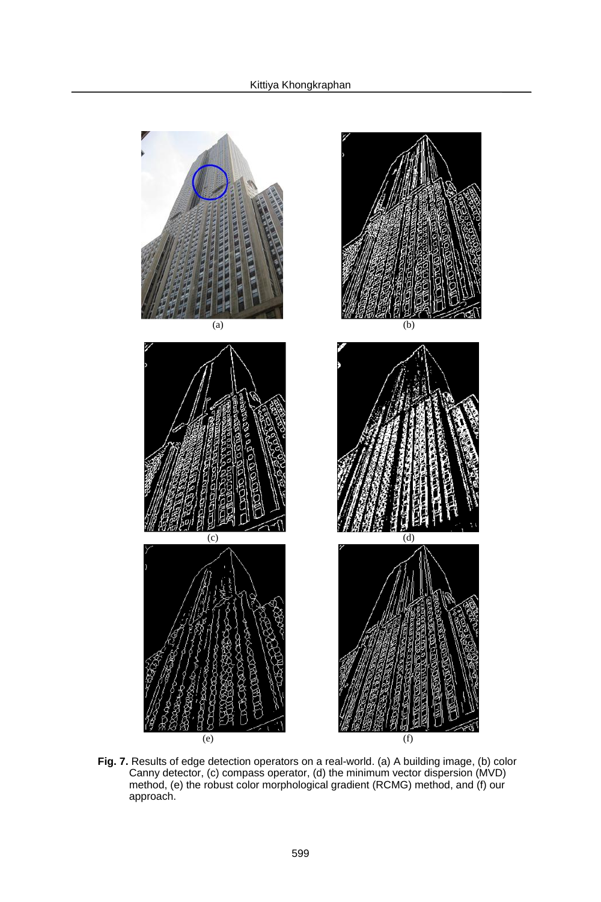

**Fig. 7.** Results of edge detection operators on a real-world. (a) A building image, (b) color Canny detector, (c) compass operator, (d) the minimum vector dispersion (MVD) method, (e) the robust color morphological gradient (RCMG) method, and (f) our approach.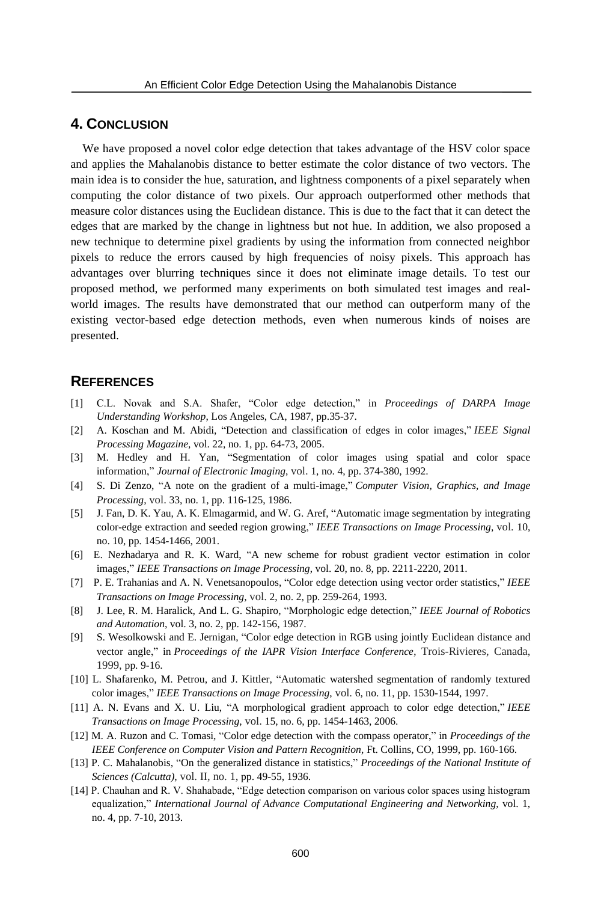# **4. CONCLUSION**

We have proposed a novel color edge detection that takes advantage of the HSV color space and applies the Mahalanobis distance to better estimate the color distance of two vectors. The main idea is to consider the hue, saturation, and lightness components of a pixel separately when computing the color distance of two pixels. Our approach outperformed other methods that measure color distances using the Euclidean distance. This is due to the fact that it can detect the edges that are marked by the change in lightness but not hue. In addition, we also proposed a new technique to determine pixel gradients by using the information from connected neighbor pixels to reduce the errors caused by high frequencies of noisy pixels. This approach has advantages over blurring techniques since it does not eliminate image details. To test our proposed method, we performed many experiments on both simulated test images and realworld images. The results have demonstrated that our method can outperform many of the existing vector-based edge detection methods, even when numerous kinds of noises are presented.

### **REFERENCES**

- [1] C.L. Novak and S.A. Shafer, "Color edge detection," in *Proceedings of DARPA Image Understanding Workshop*, Los Angeles, CA, 1987, pp.35-37.
- [2] A. Koschan and M. Abidi, "Detection and classification of edges in color images," *IEEE Signal Processing Magazine,* vol. 22, no. 1, pp. 64-73, 2005.
- [3] M. Hedley and H. Yan, "Segmentation of color images using spatial and color space information," *Journal of Electronic Imaging*, vol. 1, no. 4, pp. 374-380, 1992.
- [4] S. Di Zenzo, "A note on the gradient of a multi-image," *Computer Vision, Graphics, and Image Processing*, vol. 33, no. 1, pp. 116-125, 1986.
- [5] J. Fan, D. K. Yau, A. K. Elmagarmid, and W. G. Aref, "Automatic image segmentation by integrating color-edge extraction and seeded region growing," *IEEE Transactions on Image Processing*, vol. 10, no. 10, pp. 1454-1466, 2001.
- [6] E. Nezhadarya and R. K. Ward, "A new scheme for robust gradient vector estimation in color images," *IEEE Transactions on Image Processing*, vol. 20, no. 8, pp. 2211-2220, 2011.
- [7] P. E. Trahanias and A. N. Venetsanopoulos, "Color edge detection using vector order statistics," *IEEE Transactions on Image Processing*, vol. 2, no. 2, pp. 259-264, 1993.
- [8] J. Lee, R. M. Haralick, And L. G. Shapiro, "Morphologic edge detection," *IEEE Journal of Robotics and Automation*, vol. 3, no. 2, pp. 142-156, 1987.
- [9] S. Wesolkowski and E. Jernigan, "Color edge detection in RGB using jointly Euclidean distance and vector angle," in *Proceedings of the IAPR Vision Interface Conference*, Trois-Rivieres, Canada, 1999, pp. 9-16.
- [10] L. Shafarenko, M. Petrou, and J. Kittler, "Automatic watershed segmentation of randomly textured color images," *IEEE Transactions on Image Processing*, vol. 6, no. 11, pp. 1530-1544, 1997.
- [11] A. N. Evans and X. U. Liu, "A morphological gradient approach to color edge detection," *IEEE Transactions on Image Processing*, vol. 15, no. 6, pp. 1454-1463, 2006.
- [12] M. A. Ruzon and C. Tomasi, "Color edge detection with the compass operator," in *Proceedings of the IEEE Conference on Computer Vision and Pattern Recognition*, Ft. Collins, CO, 1999, pp. 160-166.
- [13] P. C. Mahalanobis, "On the generalized distance in statistics," *Proceedings of the National Institute of Sciences (Calcutta)*, vol. II, no. 1, pp. 49-55, 1936.
- [14] P. Chauhan and R. V. Shahabade, "Edge detection comparison on various color spaces using histogram equalization," *International Journal of Advance Computational Engineering and Networking*, vol. 1, no. 4, pp. 7-10, 2013.